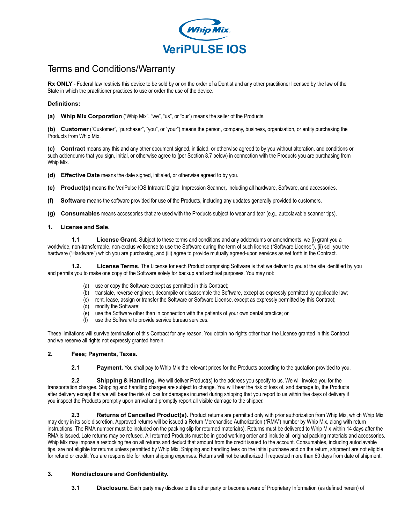

# Terms and Conditions/Warranty

**Rx ONLY** - Federal law restricts this device to be sold by or on the order of a Dentist and any other practitioner licensed by the law of the State in which the practitioner practices to use or order the use of the device.

#### **Definitions:**

**(a) Whip Mix Corporation** ("Whip Mix", "we", "us", or "our") means the seller of the Products.

**(b) Customer** ("Customer", "purchaser", "you", or "your") means the person, company, business, organization, or entity purchasing the Products from Whip Mix.

**(c) Contract** means any this and any other document signed, initialed, or otherwise agreed to by you without alteration, and conditions or such addendums that you sign, initial, or otherwise agree to (per Section 8.7 below) in connection with the Products you are purchasing from Whip Mix.

**(d) Effective Date** means the date signed, initialed, or otherwise agreed to by you.

**(e) Product(s)** means the VeriPulse IOS Intraoral Digital Impression Scanner**,** including all hardware, Software, and accessories.

**(f) Software** means the software provided for use of the Products, including any updates generally provided to customers.

**(g) Consumables** means accessories that are used with the Products subject to wear and tear (e.g., autoclavable scanner tips).

#### **1. License and Sale.**

**1.1 License Grant.** Subject to these terms and conditions and any addendums or amendments, we (i) grant you a worldwide, non-transferrable, non-exclusive license to use the Software during the term of such license ("Software License"), (ii) sell you the hardware ("Hardware") which you are purchasing, and (iii) agree to provide mutually agreed-upon services as set forth in the Contract.

**1.2. License Terms.** The License for each Product comprising Software is that we deliver to you at the site identified by you and permits you to make one copy of the Software solely for backup and archival purposes. You may not:

- (a) use or copy the Software except as permitted in this Contract;
- (b) translate, reverse engineer, decompile or disassemble the Software, except as expressly permitted by applicable law;
- (c) rent, lease, assign or transfer the Software or Software License, except as expressly permitted by this Contract;
- (d) modify the Software;
- (e) use the Software other than in connection with the patients of your own dental practice; or
- (f) use the Software to provide service bureau services.

These limitations will survive termination of this Contract for any reason. You obtain no rights other than the License granted in this Contract and we reserve all rights not expressly granted herein.

#### **2. Fees; Payments, Taxes.**

**2.1 Payment.** You shall pay to Whip Mix the relevant prices for the Products according to the quotation provided to you.

 **2.2 Shipping & Handling.** We will deliver Product(s) to the address you specify to us. We will invoice you for the you inspect the Products promptly upon arrival and promptly report all visible damage to the shipper. transportation charges. Shipping and handling charges are subject to change. You will bear the risk of loss of, and damage to, the Products after delivery except that we will bear the risk of loss for damages incurred during shipping that you report to us within five days of delivery if

 **2.3 Returns of Cancelled Product(s).** Product returns are permitted only with prior authorization from Whip Mix, which Whip Mix may deny in its sole discretion. Approved returns will be issued a Return Merchandise Authorization ("RMA") number by Whip Mix, along with return instructions. The RMA number must be included on the packing slip for returned material(s). Returns must be delivered to Whip Mix within 14 days after the RMA is issued. Late returns may be refused. All returned Products must be in good working order and include all original packing materials and accessories. Whip Mix may impose a restocking fee on all returns and deduct that amount from the credit issued to the account. Consumables, including autoclavable tips, are not eligible for returns unless permitted by Whip Mix. Shipping and handling fees on the initial purchase and on the return, shipment are not eligible for refund or credit. You are responsible for return shipping expenses. Returns will not be authorized if requested more than 60 days from date of shipment.

#### **3. Nondisclosure and Confidentiality.**

**3.1 Disclosure.** Each party may disclose to the other party or become aware of Proprietary Information (as defined herein) of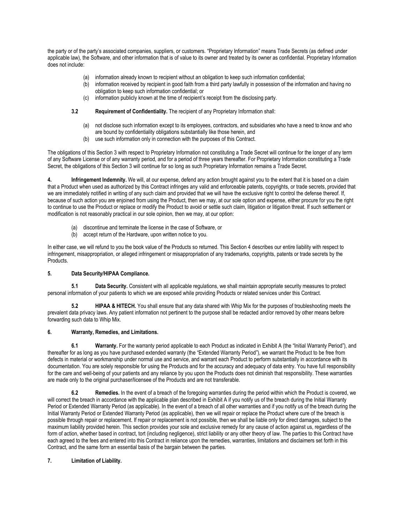the party or of the party's associated companies, suppliers, or customers. "Proprietary Information" means Trade Secrets (as defined under applicable law), the Software, and other information that is of value to its owner and treated by its owner as confidential. Proprietary Information does not include:

- (a) information already known to recipient without an obligation to keep such information confidential;
- (b) information received by recipient in good faith from a third party lawfully in possession of the information and having no obligation to keep such information confidential; or
- (c) information publicly known at the time of recipient's receipt from the disclosing party.

#### **3.2 Requirement of Confidentiality.** The recipient of any Proprietary Information shall:

- (a) not disclose such information except to its employees, contractors, and subsidiaries who have a need to know and who are bound by confidentiality obligations substantially like those herein, and
- (b) use such information only in connection with the purposes of this Contract.

The obligations of this Section 3 with respect to Proprietary Information not constituting a Trade Secret will continue for the longer of any term of any Software License or of any warranty period, and for a period of three years thereafter. For Proprietary Information constituting a Trade Secret, the obligations of this Section 3 will continue for so long as such Proprietary Information remains a Trade Secret.

**4. Infringement Indemnity.** We will, at our expense, defend any action brought against you to the extent that it is based on a claim that a Product when used as authorized by this Contract infringes any valid and enforceable patents, copyrights, or trade secrets, provided that we are immediately notified in writing of any such claim and provided that we will have the exclusive right to control the defense thereof. If, because of such action you are enjoined from using the Product, then we may, at our sole option and expense, either procure for you the right to continue to use the Product or replace or modify the Product to avoid or settle such claim, litigation or litigation threat. If such settlement or modification is not reasonably practical in our sole opinion, then we may, at our option:

- (a) discontinue and terminate the license in the case of Software, or
- (b) accept return of the Hardware, upon written notice to you.

In either case, we will refund to you the book value of the Products so returned. This Section 4 describes our entire liability with respect to infringement, misappropriation, or alleged infringement or misappropriation of any trademarks, copyrights, patents or trade secrets by the Products.

#### **5. Data Security/HIPAA Compliance.**

**5.1** Data Security. Consistent with all applicable regulations, we shall maintain appropriate security measures to protect personal information of your patients to which we are exposed while providing Products or related services under this Contract.

**5.2 HIPAA & HITECH.** You shall ensure that any data shared with Whip Mix for the purposes of troubleshooting meets the prevalent data privacy laws. Any patient information not pertinent to the purpose shall be redacted and/or removed by other means before forwarding such data to Whip Mix.

#### **6. Warranty, Remedies, and Limitations.**

**6.1 Warranty.** For the warranty period applicable to each Product as indicated in Exhibit A (the "Initial Warranty Period"), and thereafter for as long as you have purchased extended warranty (the "Extended Warranty Period"), we warrant the Product to be free from defects in material or workmanship under normal use and service, and warrant each Product to perform substantially in accordance with its documentation. You are solely responsible for using the Products and for the accuracy and adequacy of data entry. You have full responsibility for the care and well-being of your patients and any reliance by you upon the Products does not diminish that responsibility. These warranties are made only to the original purchaser/licensee of the Products and are not transferable.

**6.2 Remedies.** In the event of a breach of the foregoing warranties during the period within which the Product is covered, we will correct the breach in accordance with the applicable plan described in Exhibit A if you notify us of the breach during the Initial Warranty Period or Extended Warranty Period (as applicable). In the event of a breach of all other warranties and if you notify us of the breach during the Initial Warranty Period or Extended Warranty Period (as applicable), then we will repair or replace the Product where cure of the breach is possible through repair or replacement. If repair or replacement is not possible, then we shall be liable only for direct damages, subject to the maximum liability provided herein. This section provides your sole and exclusive remedy for any cause of action against us, regardless of the form of action, whether based in contract, tort (including negligence), strict liability or any other theory of law. The parties to this Contract have each agreed to the fees and entered into this Contract in reliance upon the remedies, warranties, limitations and disclaimers set forth in this Contract, and the same form an essential basis of the bargain between the parties.

## **7. Limitation of Liability.**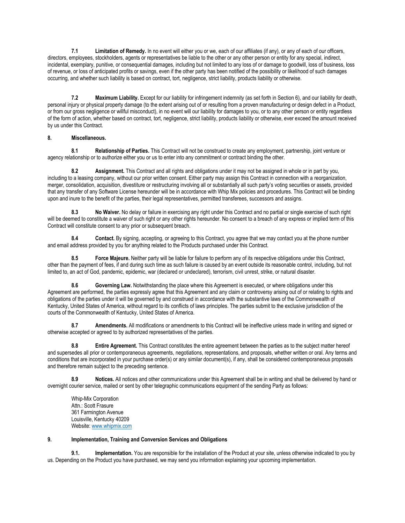**7.1 Limitation of Remedy.** In no event will either you or we, each of our affiliates (if any), or any of each of our officers, directors, employees, stockholders, agents or representatives be liable to the other or any other person or entity for any special, indirect, incidental, exemplary, punitive, or consequential damages, including but not limited to any loss of or damage to goodwill, loss of business, loss of revenue, or loss of anticipated profits or savings, even if the other party has been notified of the possibility or likelihood of such damages occurring, and whether such liability is based on contract, tort, negligence, strict liability, products liability or otherwise.

**7.2 Maximum Liability.** Except for our liability for infringement indemnity (as set forth in Section 6), and our liability for death, personal injury or physical property damage (to the extent arising out of or resulting from a proven manufacturing or design defect in a Product, or from our gross negligence or willful misconduct), in no event will our liability for damages to you, or to any other person or entity regardless of the form of action, whether based on contract, tort, negligence, strict liability, products liability or otherwise, ever exceed the amount received by us under this Contract.

## **8. Miscellaneous.**

**8.1 Relationship of Parties.** This Contract will not be construed to create any employment, partnership, joint venture or agency relationship or to authorize either you or us to enter into any commitment or contract binding the other.

**8.2 Assignment.** This Contract and all rights and obligations under it may not be assigned in whole or in part by you, including to a leasing company, without our prior written consent. Either party may assign this Contract in connection with a reorganization, merger, consolidation, acquisition, divestiture or restructuring involving all or substantially all such party's voting securities or assets, provided that any transfer of any Software License hereunder will be in accordance with Whip Mix policies and procedures. This Contract will be binding upon and inure to the benefit of the parties, their legal representatives, permitted transferees, successors and assigns.

**8.3 No Waiver.** No delay or failure in exercising any right under this Contract and no partial or single exercise of such right will be deemed to constitute a waiver of such right or any other rights hereunder. No consent to a breach of any express or implied term of this Contract will constitute consent to any prior or subsequent breach.

**8.4 Contact.** By signing, accepting, or agreeing to this Contract, you agree that we may contact you at the phone number and email address provided by you for anything related to the Products purchased under this Contract.

**8.5 Force Majeure.** Neither party will be liable for failure to perform any of its respective obligations under this Contract, other than the payment of fees, if and during such time as such failure is caused by an event outside its reasonable control, including, but not limited to, an act of God, pandemic, epidemic, war (declared or undeclared), terrorism, civil unrest, strike, or natural disaster.

**8.6 Governing Law.** Notwithstanding the place where this Agreement is executed, or where obligations under this Agreement are performed, the parties expressly agree that this Agreement and any claim or controversy arising out of or relating to rights and obligations of the parties under it will be governed by and construed in accordance with the substantive laws of the Commonwealth of Kentucky, United States of America, without regard to its conflicts of laws principles. The parties submit to the exclusive jurisdiction of the courts of the Commonwealth of Kentucky, United States of America.

**8.7 Amendments.** All modifications or amendments to this Contract will be ineffective unless made in writing and signed or otherwise accepted or agreed to by authorized representatives of the parties.

**8.8 Entire Agreement.** This Contract constitutes the entire agreement between the parties as to the subject matter hereof and supersedes all prior or contemporaneous agreements, negotiations, representations, and proposals, whether written or oral. Any terms and conditions that are incorporated in your purchase order(s) or any similar document(s), if any, shall be considered contemporaneous proposals and therefore remain subject to the preceding sentence.

**8.9 Notices.** All notices and other communications under this Agreement shall be in writing and shall be delivered by hand or overnight courier service, mailed or sent by other telegraphic communications equipment of the sending Party as follows:

Whip-Mix Corporation Attn.: Scott Frasure 361 Farmington Avenue Louisville, Kentucky 40209 Website: [www.whipmix.com](http://www.whipmix.com/)

#### **9. Implementation, Training and Conversion Services and Obligations**

**9.1. Implementation.** You are responsible for the installation of the Product at your site, unless otherwise indicated to you by us. Depending on the Product you have purchased, we may send you information explaining your upcoming implementation.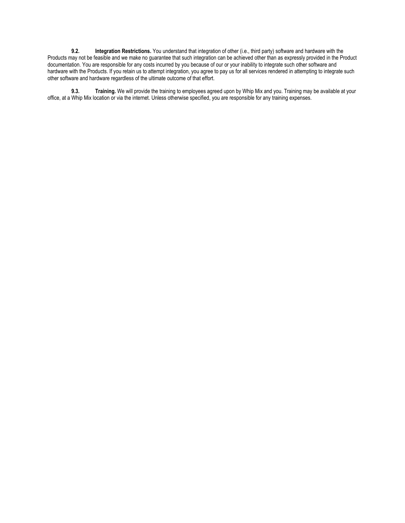**9.2. Integration Restrictions.** You understand that integration of other (i.e., third party) software and hardware with the Products may not be feasible and we make no guarantee that such integration can be achieved other than as expressly provided in the Product documentation. You are responsible for any costs incurred by you because of our or your inability to integrate such other software and hardware with the Products. If you retain us to attempt integration, you agree to pay us for all services rendered in attempting to integrate such other software and hardware regardless of the ultimate outcome of that effort.

**9.3. Training.** We will provide the training to employees agreed upon by Whip Mix and you. Training may be available at your office, at a Whip Mix location or via the internet. Unless otherwise specified, you are responsible for any training expenses.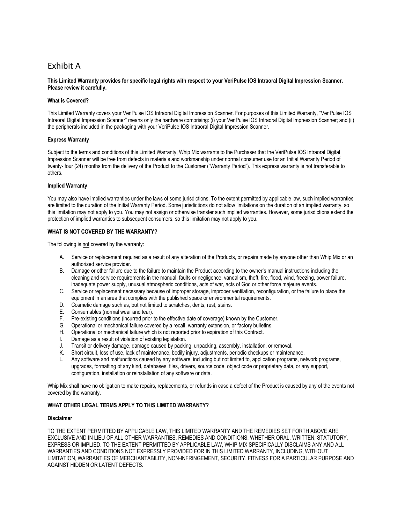## Exhibit A

#### **This Limited Warranty provides for specific legal rights with respect to your VeriPulse IOS Intraoral Digital Impression Scanner. Please review it carefully.**

#### **What is Covered?**

This Limited Warranty covers your VeriPulse IOS Intraoral Digital Impression Scanner. For purposes of this Limited Warranty, "VeriPulse IOS Intraoral Digital Impression Scanner" means only the hardware comprising: (i) your VeriPulse IOS Intraoral Digital Impression Scanner; and (ii) the peripherals included in the packaging with your VeriPulse IOS Intraoral Digital Impression Scanner.

#### **Express Warranty**

Subject to the terms and conditions of this Limited Warranty, Whip Mix warrants to the Purchaser that the VeriPulse IOS Intraoral Digital Impression Scanner will be free from defects in materials and workmanship under normal consumer use for an Initial Warranty Period of twenty- four (24) months from the delivery of the Product to the Customer ("Warranty Period"). This express warranty is not transferable to others.

#### **Implied Warranty**

You may also have implied warranties under the laws of some jurisdictions. To the extent permitted by applicable law, such implied warranties are limited to the duration of the Initial Warranty Period. Some jurisdictions do not allow limitations on the duration of an implied warranty, so this limitation may not apply to you. You may not assign or otherwise transfer such implied warranties. However, some jurisdictions extend the protection of implied warranties to subsequent consumers, so this limitation may not apply to you.

#### **WHAT IS NOT COVERED BY THE WARRANTY?**

The following is not covered by the warranty:

- A. Service or replacement required as a result of any alteration of the Products, or repairs made by anyone other than Whip Mix or an authorized service provider.
- B. Damage or other failure due to the failure to maintain the Product according to the owner's manual instructions including the cleaning and service requirements in the manual, faults or negligence, vandalism, theft, fire, flood, wind, freezing, power failure, inadequate power supply, unusual atmospheric conditions, acts of war, acts of God or other force majeure events.
- C. Service or replacement necessary because of improper storage, improper ventilation, reconfiguration, or the failure to place the equipment in an area that complies with the published space or environmental requirements.
- D. Cosmetic damage such as, but not limited to scratches, dents, rust, stains.
- E. Consumables (normal wear and tear).
- F. Pre-existing conditions (incurred prior to the effective date of coverage) known by the Customer.
- G. Operational or mechanical failure covered by a recall, warranty extension, or factory bulletins.
- H. Operational or mechanical failure which is not reported prior to expiration of this Contract.
- I. Damage as a result of violation of existing legislation.
- J. Transit or delivery damage, damage caused by packing, unpacking, assembly, installation, or removal.
- K. Short circuit, loss of use, lack of maintenance, bodily injury, adjustments, periodic checkups or maintenance.
- L. Any software and malfunctions caused by any software, including but not limited to, application programs, network programs, upgrades, formatting of any kind, databases, files, drivers, source code, object code or proprietary data, or any support, configuration, installation or reinstallation of any software or data.

Whip Mix shall have no obligation to make repairs, replacements, or refunds in case a defect of the Product is caused by any of the events not covered by the warranty.

#### **WHAT OTHER LEGAL TERMS APPLY TO THIS LIMITED WARRANTY?**

#### **Disclaimer**

TO THE EXTENT PERMITTED BY APPLICABLE LAW, THIS LIMITED WARRANTY AND THE REMEDIES SET FORTH ABOVE ARE EXCLUSIVE AND IN LIEU OF ALL OTHER WARRANTIES, REMEDIES AND CONDITIONS, WHETHER ORAL, WRITTEN, STATUTORY, EXPRESS OR IMPLIED. TO THE EXTENT PERMITTED BY APPLICABLE LAW, WHIP MIX SPECIFICALLY DISCLAIMS ANY AND ALL WARRANTIES AND CONDITIONS NOT EXPRESSLY PROVIDED FOR IN THIS LIMITED WARRANTY, INCLUDING, WITHOUT LIMITATION, WARRANTIES OF MERCHANTABILITY, NON-INFRINGEMENT, SECURITY, FITNESS FOR A PARTICULAR PURPOSE AND AGAINST HIDDEN OR LATENT DEFECTS.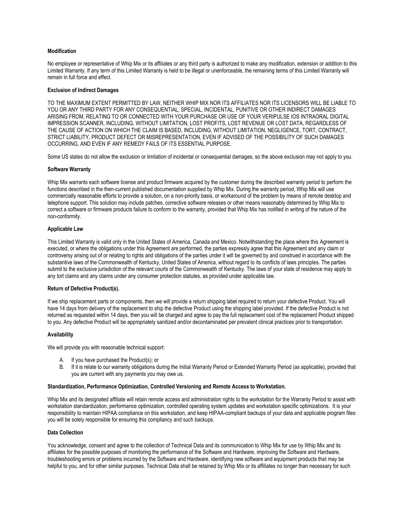#### **Modification**

No employee or representative of Whip Mix or its affiliates or any third party is authorized to make any modification, extension or addition to this Limited Warranty. If any term of this Limited Warranty is held to be illegal or unenforceable, the remaining terms of this Limited Warranty will remain in full force and effect.

#### **Exclusion of Indirect Damages**

TO THE MAXIMUM EXTENT PERMITTED BY LAW, NEITHER WHIP MIX NOR ITS AFFILIATES NOR ITS LICENSORS WILL BE LIABLE TO YOU OR ANY THIRD PARTY FOR ANY CONSEQUENTIAL, SPECIAL, INCIDENTAL, PUNITIVE OR OTHER INDIRECT DAMAGES ARISING FROM, RELATING TO OR CONNECTED WITH YOUR PURCHASE OR USE OF YOUR VERIPULSE IOS INTRAORAL DIGITAL IMPRESSION SCANNER, INCLUDING, WITHOUT LIMITATION, LOST PROFITS, LOST REVENUE OR LOST DATA, REGARDLESS OF THE CAUSE OF ACTION ON WHICH THE CLAIM IS BASED, INCLUDING, WITHOUT LIMITATION, NEGLIGENCE, TORT, CONTRACT, STRICT LIABILITY, PRODUCT DEFECT OR MISREPRESENTATION, EVEN IF ADVISED OF THE POSSIBILITY OF SUCH DAMAGES OCCURRING, AND EVEN IF ANY REMEDY FAILS OF ITS ESSENTIAL PURPOSE.

Some US states do not allow the exclusion or limitation of incidental or consequential damages, so the above exclusion may not apply to you.

#### **Software Warranty**

Whip Mix warrants each software license and product firmware acquired by the customer during the described warranty period to perform the functions described in the then-current published documentation supplied by Whip Mix. During the warranty period, Whip Mix will use commercially reasonable efforts to provide a solution, on a non-priority basis, or workaround of the problem by means of remote desktop and telephone support. This solution may include patches, corrective software releases or other means reasonably determined by Whip Mix to correct a software or firmware products failure to conform to the warranty, provided that Whip Mix has notified in writing of the nature of the non-conformity.

#### **Applicable Law**

This Limited Warranty is valid only in the United States of America, Canada and Mexico. Notwithstanding the place where this Agreement is executed, or where the obligations under this Agreement are performed, the parties expressly agree that this Agreement and any claim or controversy arising out of or relating to rights and obligations of the parties under it will be governed by and construed in accordance with the substantive laws of the Commonwealth of Kentucky, United States of America, without regard to its conflicts of laws principles. The parties submit to the exclusive jurisdiction of the relevant courts of the Commonwealth of Kentucky. The laws of your state of residence may apply to any tort claims and any claims under any consumer protection statutes, as provided under applicable law.

#### **Return of Defective Product(s).**

If we ship replacement parts or components, then we will provide a return shipping label required to return your defective Product. You will have 14 days from delivery of the replacement to ship the defective Product using the shipping label provided. If the defective Product is not returned as requested within 14 days, then you will be charged and agree to pay the full replacement cost of the replacement Product shipped to you. Any defective Product will be appropriately sanitized and/or decontaminated per prevalent clinical practices prior to transportation.

#### **Availability**

We will provide you with reasonable technical support:

- A. If you have purchased the Product(s); or
- B. If it is relate to our warranty obligations during the Initial Warranty Period or Extended Warranty Period (as applicable), provided that you are current with any payments you may owe us.

#### **Standardization, Performance Optimization, Controlled Versioning and Remote Access to Workstation.**

Whip Mix and its designated affiliate will retain remote access and administration rights to the workstation for the Warranty Period to assist with workstation standardization, performance optimization, controlled operating system updates and workstation specific optimizations. It is your responsibility to maintain HIPAA compliance on this workstation, and keep HIPAA-compliant backups of your data and applicable program files: you will be solely responsible for ensuring this compliancy and such backups.

#### **Data Collection**

You acknowledge, consent and agree to the collection of Technical Data and its communication to Whip Mix for use by Whip Mix and its affiliates for the possible purposes of monitoring the performance of the Software and Hardware, improving the Software and Hardware, troubleshooting errors or problems incurred by the Software and Hardware, identifying new software and equipment products that may be helpful to you, and for other similar purposes. Technical Data shall be retained by Whip Mix or its affiliates no longer than necessary for such